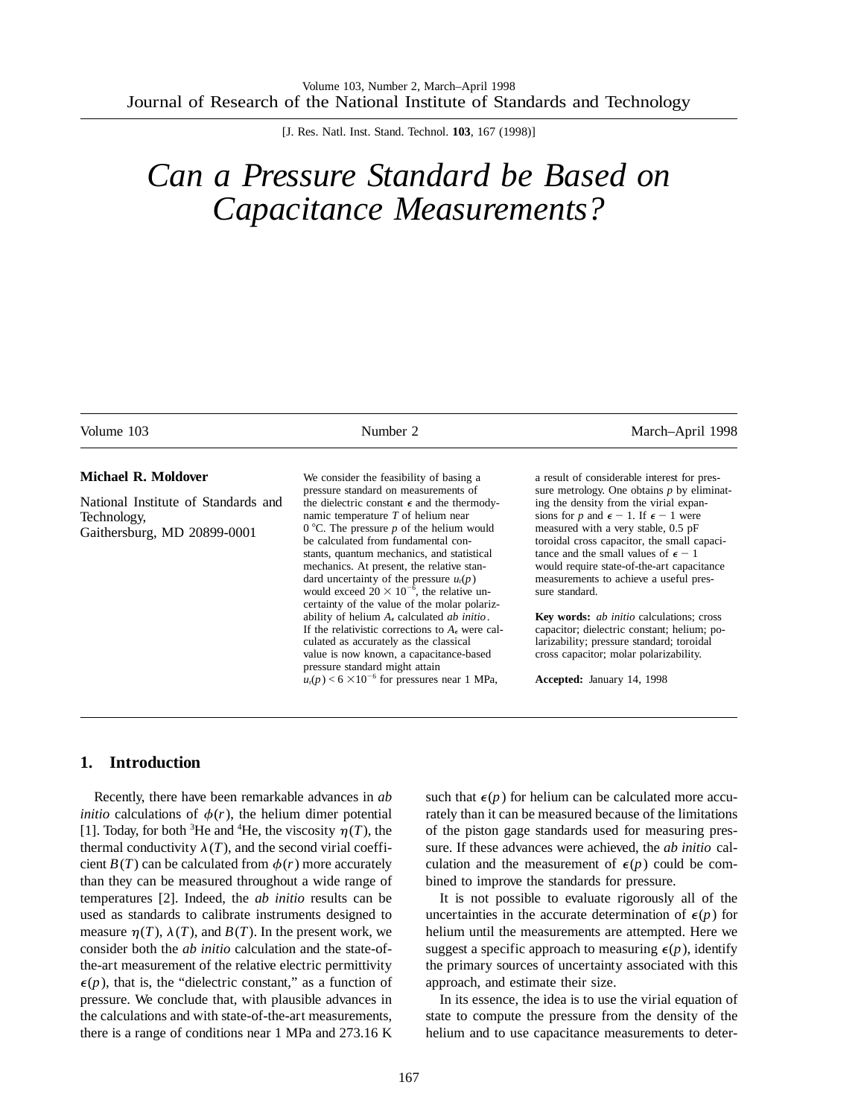[J. Res. Natl. Inst. Stand. Technol. **103**, 167 (1998)]

# *Can a Pressure Standard be Based on Capacitance Measurements?*

| Volume 103                                                                        | Number 2                                                                                                                                                                                                                                                                                                                                                                                                                        | March-April 1998                                                                                                                                                                                                                                                                                                                                                                                  |  |
|-----------------------------------------------------------------------------------|---------------------------------------------------------------------------------------------------------------------------------------------------------------------------------------------------------------------------------------------------------------------------------------------------------------------------------------------------------------------------------------------------------------------------------|---------------------------------------------------------------------------------------------------------------------------------------------------------------------------------------------------------------------------------------------------------------------------------------------------------------------------------------------------------------------------------------------------|--|
| <b>Michael R. Moldover</b>                                                        | We consider the feasibility of basing a                                                                                                                                                                                                                                                                                                                                                                                         | a result of considerable interest for pres-                                                                                                                                                                                                                                                                                                                                                       |  |
| National Institute of Standards and<br>Technology,<br>Gaithersburg, MD 20899-0001 | pressure standard on measurements of<br>the dielectric constant $\epsilon$ and the thermody-<br>namic temperature $T$ of helium near<br>$0^{\circ}$ C. The pressure p of the helium would<br>be calculated from fundamental con-<br>stants, quantum mechanics, and statistical<br>mechanics. At present, the relative stan-<br>dard uncertainty of the pressure $u_r(p)$<br>would exceed $20 \times 10^{-6}$ , the relative un- | sure metrology. One obtains $p$ by eliminat-<br>ing the density from the virial expan-<br>sions for p and $\epsilon - 1$ . If $\epsilon - 1$ were<br>measured with a very stable, 0.5 pF<br>toroidal cross capacitor, the small capaci-<br>tance and the small values of $\epsilon - 1$<br>would require state-of-the-art capacitance<br>measurements to achieve a useful pres-<br>sure standard. |  |
|                                                                                   | certainty of the value of the molar polariz-<br>ability of helium $A_{\epsilon}$ calculated <i>ab initio</i> .<br>If the relativistic corrections to $A_{\epsilon}$ were cal-<br>culated as accurately as the classical<br>value is now known, a capacitance-based<br>pressure standard might attain<br>$u_r(p)$ < 6 $\times$ 10 <sup>-6</sup> for pressures near 1 MPa,                                                        | <b>Key words:</b> <i>ab initio</i> calculations; cross<br>capacitor; dielectric constant; helium; po-<br>larizability; pressure standard; toroidal<br>cross capacitor; molar polarizability.<br>Accepted: January 14, 1998                                                                                                                                                                        |  |

## **1. Introduction**

Recently, there have been remarkable advances in *ab initio* calculations of  $\phi(r)$ , the helium dimer potential [1]. Today, for both <sup>3</sup>He and <sup>4</sup>He, the viscosity  $\eta(T)$ , the thermal conductivity  $\lambda(T)$ , and the second virial coefficient  $B(T)$  can be calculated from  $\phi(r)$  more accurately than they can be measured throughout a wide range of temperatures [2]. Indeed, the *ab initio* results can be used as standards to calibrate instruments designed to measure  $\eta(T)$ ,  $\lambda(T)$ , and  $B(T)$ . In the present work, we consider both the *ab initio* calculation and the state-ofthe-art measurement of the relative electric permittivity  $\epsilon(p)$ , that is, the "dielectric constant," as a function of pressure. We conclude that, with plausible advances in the calculations and with state-of-the-art measurements, there is a range of conditions near 1 MPa and 273.16 K

such that  $\epsilon(p)$  for helium can be calculated more accurately than it can be measured because of the limitations of the piston gage standards used for measuring pressure. If these advances were achieved, the *ab initio* calculation and the measurement of  $\epsilon(p)$  could be combined to improve the standards for pressure.

It is not possible to evaluate rigorously all of the uncertainties in the accurate determination of  $\epsilon(p)$  for helium until the measurements are attempted. Here we suggest a specific approach to measuring  $\epsilon(p)$ , identify the primary sources of uncertainty associated with this approach, and estimate their size.

In its essence, the idea is to use the virial equation of state to compute the pressure from the density of the helium and to use capacitance measurements to deter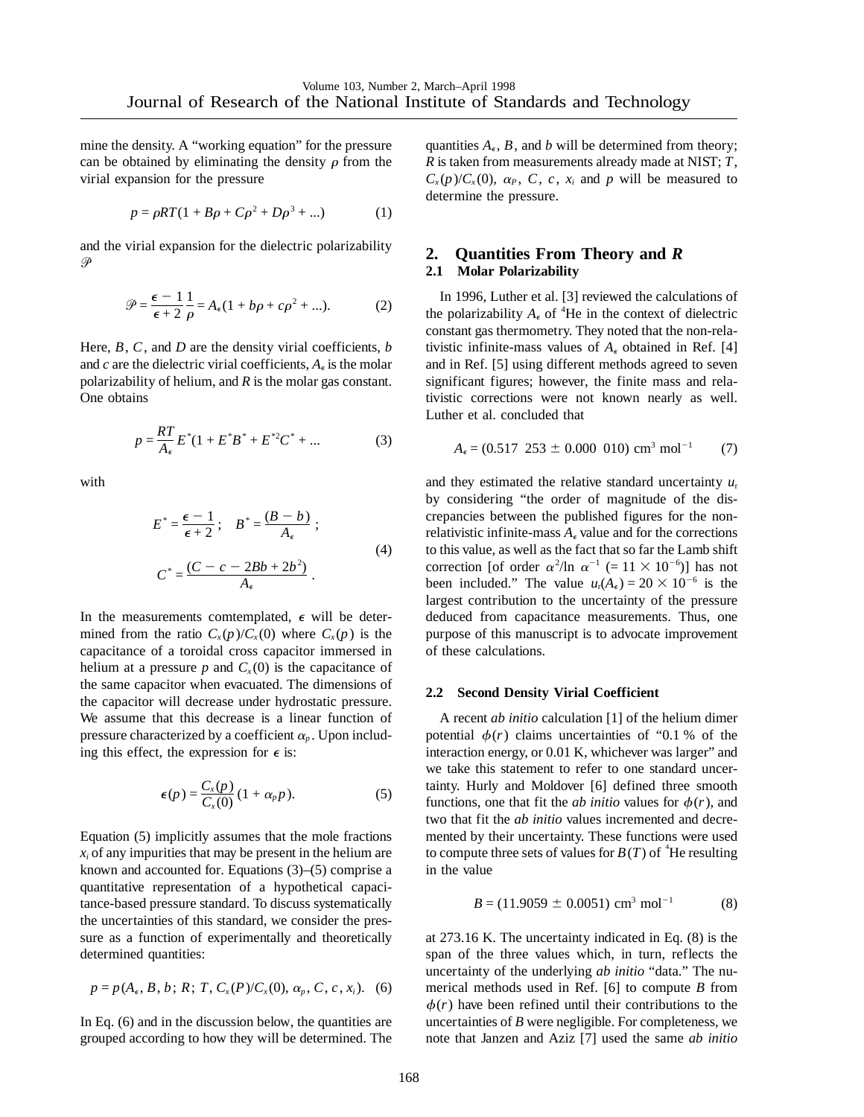mine the density. A "working equation" for the pressure can be obtained by eliminating the density  $\rho$  from the virial expansion for the pressure

$$
p = \rho RT (1 + B\rho + C\rho^2 + D\rho^3 + ...)
$$
 (1)

and the virial expansion for the dielectric polarizability  $\overline{O}$ 

$$
\mathcal{P} = \frac{\epsilon - 1}{\epsilon + 2} \frac{1}{\rho} = A_{\epsilon} (1 + b\rho + c\rho^2 + \dots). \tag{2}
$$

Here, *B*, *C*, and *D* are the density virial coefficients, *b* and *c* are the dielectric virial coefficients,  $A_{\epsilon}$  is the molar polarizability of helium, and *R* is the molar gas constant. One obtains

$$
p = \frac{RT}{A_{\epsilon}} E^*(1 + E^* B^* + E^{*2} C^* + \dots \tag{3}
$$

with

$$
E^* = \frac{\epsilon - 1}{\epsilon + 2}; \quad B^* = \frac{(B - b)}{A_{\epsilon}}; C^* = \frac{(C - c - 2Bb + 2b^2)}{A_{\epsilon}}.
$$
 (4)

In the measurements comtemplated,  $\epsilon$  will be determined from the ratio  $C_x(p)/C_x(0)$  where  $C_x(p)$  is the capacitance of a toroidal cross capacitor immersed in helium at a pressure  $p$  and  $C_x(0)$  is the capacitance of the same capacitor when evacuated. The dimensions of the capacitor will decrease under hydrostatic pressure. We assume that this decrease is a linear function of pressure characterized by a coefficient  $\alpha_p$ . Upon including this effect, the expression for  $\epsilon$  is:

$$
\epsilon(p) = \frac{C_x(p)}{C_x(0)} (1 + \alpha_p p). \tag{5}
$$

Equation (5) implicitly assumes that the mole fractions  $x_i$  of any impurities that may be present in the helium are known and accounted for. Equations (3)–(5) comprise a quantitative representation of a hypothetical capacitance-based pressure standard. To discuss systematically the uncertainties of this standard, we consider the pressure as a function of experimentally and theoretically determined quantities:

$$
p = p(A_{\epsilon}, B, b; R; T, C_{x}(P)/C_{x}(0), \alpha_{p}, C, c, x_{i}).
$$
 (6)

In Eq. (6) and in the discussion below, the quantities are grouped according to how they will be determined. The quantities  $A_{\epsilon}$ ,  $B$ , and  $b$  will be determined from theory; *R* is taken from measurements already made at NIST; *T*,  $C_x(p)/C_x(0)$ ,  $\alpha_P$ , *C*, *c*, *x<sub>i</sub>* and *p* will be measured to determine the pressure.

## **2. Quantities From Theory and** *R* **2.1 Molar Polarizability**

In 1996, Luther et al. [3] reviewed the calculations of the polarizability  $A_{\epsilon}$  of <sup>4</sup>He in the context of dielectric constant gas thermometry. They noted that the non-relativistic infinite-mass values of  $A_{\epsilon}$  obtained in Ref. [4] and in Ref. [5] using different methods agreed to seven significant figures; however, the finite mass and relativistic corrections were not known nearly as well. Luther et al. concluded that

$$
A_{\epsilon} = (0.517 \ 253 \pm 0.000 \ 010) \ \text{cm}^3 \ \text{mol}^{-1} \tag{7}
$$

and they estimated the relative standard uncertainty *u*<sup>r</sup> by considering "the order of magnitude of the discrepancies between the published figures for the nonrelativistic infinite-mass  $A_{\epsilon}$  value and for the corrections to this value, as well as the fact that so far the Lamb shift correction [of order  $\alpha^2/\ln \alpha^{-1}$  (= 11 × 10<sup>-6</sup>)] has not been included." The value  $u_r(A_\epsilon) = 20 \times 10^{-6}$  is the largest contribution to the uncertainty of the pressure deduced from capacitance measurements. Thus, one purpose of this manuscript is to advocate improvement of these calculations.

#### **2.2 Second Density Virial Coefficient**

A recent *ab initio* calculation [1] of the helium dimer potential  $\phi(r)$  claims uncertainties of "0.1 % of the interaction energy, or 0.01 K, whichever was larger" and we take this statement to refer to one standard uncertainty. Hurly and Moldover [6] defined three smooth functions, one that fit the *ab initio* values for  $\phi(r)$ , and two that fit the *ab initio* values incremented and decremented by their uncertainty. These functions were used to compute three sets of values for  $B(T)$  of <sup>4</sup>He resulting in the value

$$
B = (11.9059 \pm 0.0051) \text{ cm}^3 \text{ mol}^{-1} \tag{8}
$$

at 273.16 K. The uncertainty indicated in Eq. (8) is the span of the three values which, in turn, reflects the uncertainty of the underlying *ab initio* "data." The numerical methods used in Ref. [6] to compute *B* from  $\phi(r)$  have been refined until their contributions to the uncertainties of *B* were negligible. For completeness, we note that Janzen and Aziz [7] used the same *ab initio*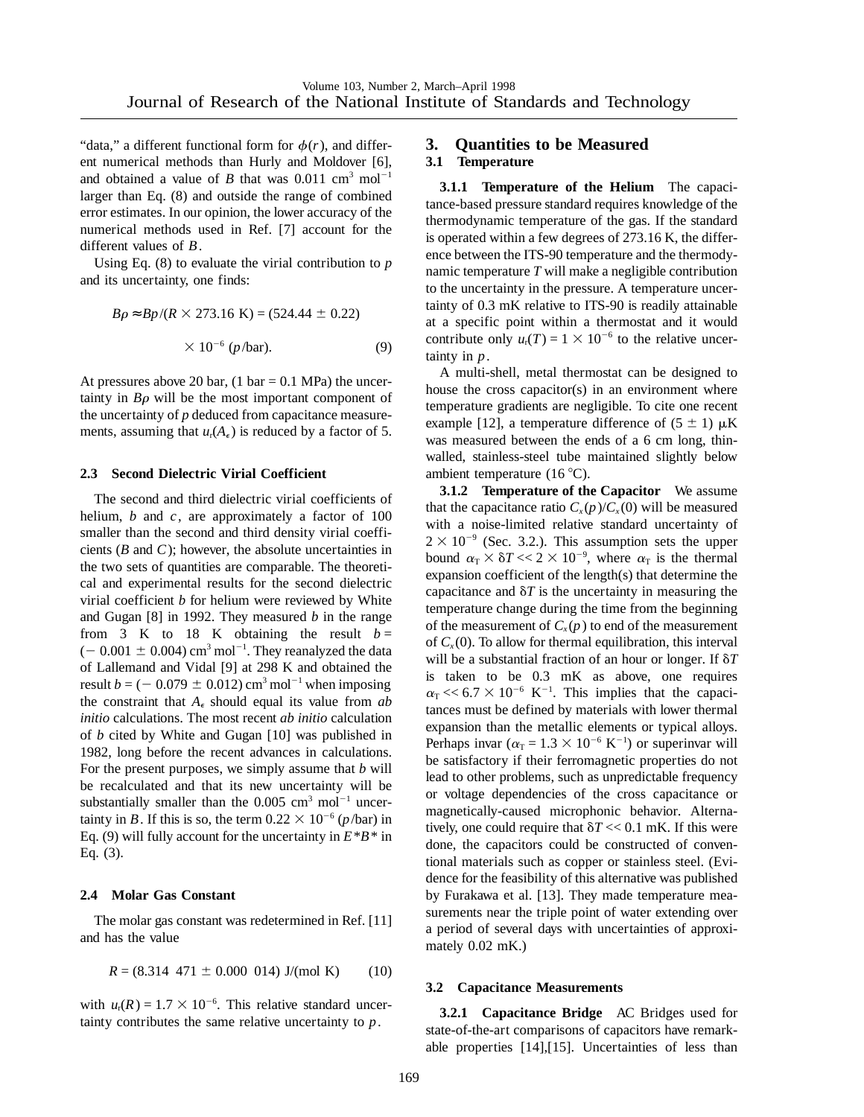"data," a different functional form for  $\phi(r)$ , and different numerical methods than Hurly and Moldover [6], and obtained a value of *B* that was  $0.011 \text{ cm}^3 \text{ mol}^{-1}$ larger than Eq. (8) and outside the range of combined error estimates. In our opinion, the lower accuracy of the numerical methods used in Ref. [7] account for the different values of *B*.

Using Eq. (8) to evaluate the virial contribution to *p* and its uncertainty, one finds:

$$
B\rho \approx Bp/(R \times 273.16 \text{ K}) = (524.44 \pm 0.22)
$$
  
× 10<sup>-6</sup> (*p*/bar). (9)

At pressures above 20 bar,  $(1 \text{ bar} = 0.1 \text{ MPa})$  the uncertainty in  $B\rho$  will be the most important component of the uncertainty of *p* deduced from capacitance measurements, assuming that  $u_r(A_\epsilon)$  is reduced by a factor of 5.

#### **2.3 Second Dielectric Virial Coefficient**

The second and third dielectric virial coefficients of helium, *b* and *c*, are approximately a factor of 100 smaller than the second and third density virial coefficients (*B* and *C*); however, the absolute uncertainties in the two sets of quantities are comparable. The theoretical and experimental results for the second dielectric virial coefficient *b* for helium were reviewed by White and Gugan [8] in 1992. They measured *b* in the range from 3 K to 18 K obtaining the result  $b =$  $(-0.001 \pm 0.004)$  cm<sup>3</sup> mol<sup>-1</sup>. They reanalyzed the data of Lallemand and Vidal [9] at 298 K and obtained the result  $b = (-0.079 \pm 0.012)$  cm<sup>3</sup> mol<sup>-1</sup> when imposing the constraint that  $A_{\epsilon}$  should equal its value from *ab initio* calculations. The most recent *ab initio* calculation of *b* cited by White and Gugan [10] was published in 1982, long before the recent advances in calculations. For the present purposes, we simply assume that *b* will be recalculated and that its new uncertainty will be substantially smaller than the  $0.005 \text{ cm}^3 \text{ mol}^{-1}$  uncertainty in *B*. If this is so, the term  $0.22 \times 10^{-6}$  (*p*/bar) in Eq. (9) will fully account for the uncertainty in  $E^*B^*$  in Eq. (3).

#### **2.4 Molar Gas Constant**

The molar gas constant was redetermined in Ref. [11] and has the value

$$
R = (8.314 \ 471 \pm 0.000 \ 014) \text{ J/(mol K)} \tag{10}
$$

with  $u_r(R) = 1.7 \times 10^{-6}$ . This relative standard uncertainty contributes the same relative uncertainty to *p*.

### **3. Quantities to be Measured 3.1 Temperature**

**3.1.1 Temperature of the Helium** The capacitance-based pressure standard requires knowledge of the thermodynamic temperature of the gas. If the standard is operated within a few degrees of 273.16 K, the difference between the ITS-90 temperature and the thermodynamic temperature *T* will make a negligible contribution to the uncertainty in the pressure. A temperature uncertainty of 0.3 mK relative to ITS-90 is readily attainable at a specific point within a thermostat and it would contribute only  $u_r(T) = 1 \times 10^{-6}$  to the relative uncertainty in *p*.

A multi-shell, metal thermostat can be designed to house the cross capacitor(s) in an environment where temperature gradients are negligible. To cite one recent example [12], a temperature difference of  $(5 \pm 1) \mu K$ was measured between the ends of a 6 cm long, thinwalled, stainless-steel tube maintained slightly below ambient temperature (16 $°C$ ).

**3.1.2 Temperature of the Capacitor** We assume that the capacitance ratio  $C_x(p)/C_x(0)$  will be measured with a noise-limited relative standard uncertainty of  $2 \times 10^{-9}$  (Sec. 3.2.). This assumption sets the upper bound  $\alpha_{\rm T} \times \delta T \ll 2 \times 10^{-9}$ , where  $\alpha_{\rm T}$  is the thermal expansion coefficient of the length(s) that determine the capacitance and  $\delta T$  is the uncertainty in measuring the temperature change during the time from the beginning of the measurement of  $C_x(p)$  to end of the measurement of  $C_x(0)$ . To allow for thermal equilibration, this interval will be a substantial fraction of an hour or longer. If  $\delta T$ is taken to be 0.3 mK as above, one requires  $\alpha_{\rm T}$  << 6.7  $\times$  10<sup>-6</sup> K<sup>-1</sup>. This implies that the capacitances must be defined by materials with lower thermal expansion than the metallic elements or typical alloys. Perhaps invar ( $\alpha$ <sub>T</sub> = 1.3 × 10<sup>-6</sup> K<sup>-1</sup>) or superinvar will be satisfactory if their ferromagnetic properties do not lead to other problems, such as unpredictable frequency or voltage dependencies of the cross capacitance or magnetically-caused microphonic behavior. Alternatively, one could require that  $\delta T \ll 0.1$  mK. If this were done, the capacitors could be constructed of conventional materials such as copper or stainless steel. (Evidence for the feasibility of this alternative was published by Furakawa et al. [13]. They made temperature measurements near the triple point of water extending over a period of several days with uncertainties of approximately 0.02 mK.)

#### **3.2 Capacitance Measurements**

**3.2.1 Capacitance Bridge** AC Bridges used for state-of-the-art comparisons of capacitors have remarkable properties [14],[15]. Uncertainties of less than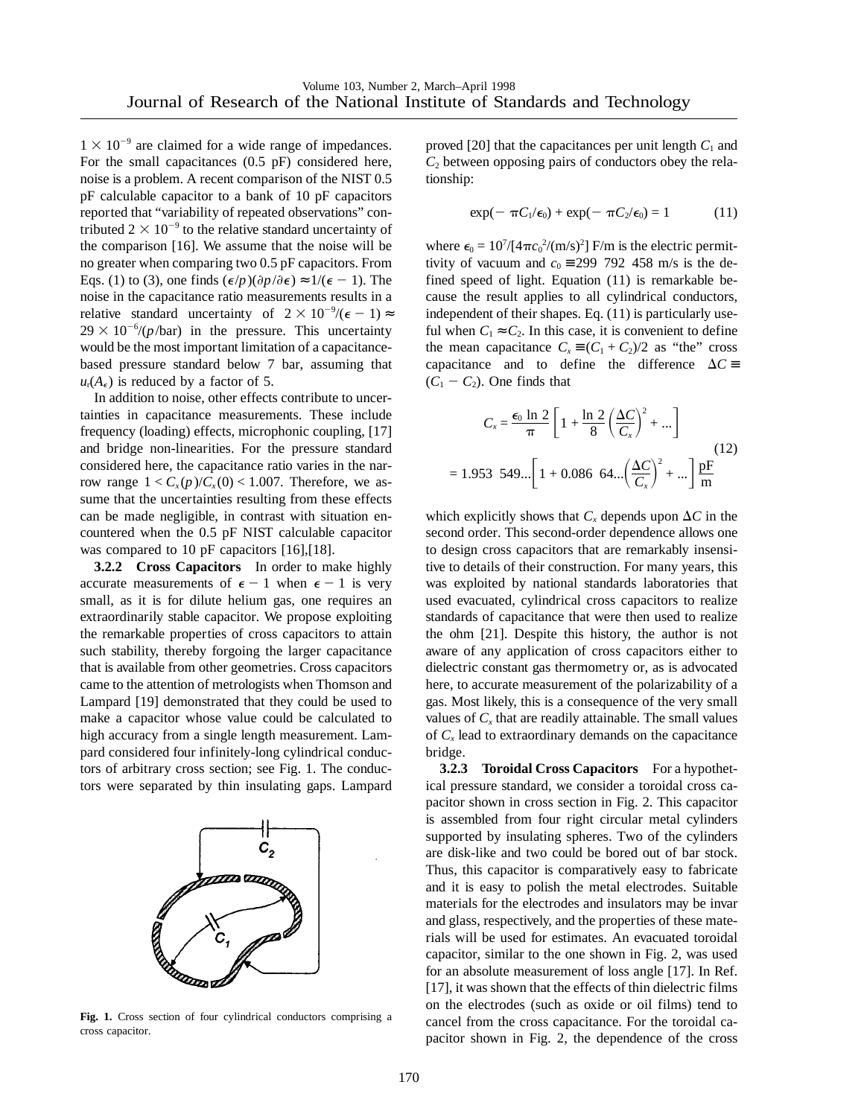$1 \times 10^{-9}$  are claimed for a wide range of impedances. For the small capacitances (0.5 pF) considered here, noise is a problem. A recent comparison of the NIST 0.5 pF calculable capacitor to a bank of 10 pF capacitors reported that "variability of repeated observations" contributed  $2 \times 10^{-9}$  to the relative standard uncertainty of the comparison [16]. We assume that the noise will be no greater when comparing two 0.5 pF capacitors. From Eqs. (1) to (3), one finds  $(\epsilon / p)(\partial p / \partial \epsilon) \approx 1/(\epsilon - 1)$ . The noise in the capacitance ratio measurements results in a relative standard uncertainty of  $2 \times 10^{-9}$ /( $\epsilon - 1$ )  $\approx$  $29 \times 10^{-6}$ /(*p*/bar) in the pressure. This uncertainty would be the most important limitation of a capacitancebased pressure standard below 7 bar, assuming that  $u_r(A_\epsilon)$  is reduced by a factor of 5.

In addition to noise, other effects contribute to uncertainties in capacitance measurements. These include frequency (loading) effects, microphonic coupling, [17] and bridge non-linearities. For the pressure standard considered here, the capacitance ratio varies in the narrow range  $1 < C_x(p)/C_x(0) < 1.007$ . Therefore, we assume that the uncertainties resulting from these effects can be made negligible, in contrast with situation encountered when the 0.5 pF NIST calculable capacitor was compared to 10 pF capacitors [16], [18].

**3.2.2 Cross Capacitors** In order to make highly accurate measurements of  $\epsilon - 1$  when  $\epsilon - 1$  is very small, as it is for dilute helium gas, one requires an extraordinarily stable capacitor. We propose exploiting the remarkable properties of cross capacitors to attain such stability, thereby forgoing the larger capacitance that is available from other geometries. Cross capacitors came to the attention of metrologists when Thomson and Lampard [19] demonstrated that they could be used to make a capacitor whose value could be calculated to high accuracy from a single length measurement. Lampard considered four infinitely-long cylindrical conductors of arbitrary cross section; see Fig. 1. The conductors were separated by thin insulating gaps. Lampard



**Fig. 1.** Cross section of four cylindrical conductors comprising a cross capacitor.

proved  $[20]$  that the capacitances per unit length  $C_1$  and  $C_2$  between opposing pairs of conductors obey the relationship:

$$
\exp(-\pi C_1/\epsilon_0) + \exp(-\pi C_2/\epsilon_0) = 1 \tag{11}
$$

where  $\epsilon_0 = 10^7/[4\pi c_0^2/(m/s)^2]$  F/m is the electric permittivity of vacuum and  $c_0 = 299\,792\,458$  m/s is the defined speed of light. Equation (11) is remarkable because the result applies to all cylindrical conductors, independent of their shapes. Eq. (11) is particularly useful when  $C_1 \approx C_2$ . In this case, it is convenient to define the mean capacitance  $C_x \equiv (C_1 + C_2)/2$  as "the" cross capacitance and to define the difference  $\Delta C \equiv$  $(C_1 - C_2)$ . One finds that

$$
C_x = \frac{\epsilon_0 \ln 2}{\pi} \left[ 1 + \frac{\ln 2}{8} \left( \frac{\Delta C}{C_x} \right)^2 + \dots \right]
$$
  
= 1.953 549...  $\left[ 1 + 0.086 \left( 64 \dots \left( \frac{\Delta C}{C_x} \right)^2 + \dots \right] \frac{\text{pF}}{\text{m}} \right]$  (12)

which explicitly shows that  $C_x$  depends upon  $\Delta C$  in the second order. This second-order dependence allows one to design cross capacitors that are remarkably insensitive to details of their construction. For many years, this was exploited by national standards laboratories that used evacuated, cylindrical cross capacitors to realize standards of capacitance that were then used to realize the ohm [21]. Despite this history, the author is not aware of any application of cross capacitors either to dielectric constant gas thermometry or, as is advocated here, to accurate measurement of the polarizability of a gas. Most likely, this is a consequence of the very small values of  $C_x$  that are readily attainable. The small values of  $C_x$  lead to extraordinary demands on the capacitance bridge.

**3.2.3 Toroidal Cross Capacitors** For a hypothetical pressure standard, we consider a toroidal cross capacitor shown in cross section in Fig. 2. This capacitor is assembled from four right circular metal cylinders supported by insulating spheres. Two of the cylinders are disk-like and two could be bored out of bar stock. Thus, this capacitor is comparatively easy to fabricate and it is easy to polish the metal electrodes. Suitable materials for the electrodes and insulators may be invar and glass, respectively, and the properties of these materials will be used for estimates. An evacuated toroidal capacitor, similar to the one shown in Fig. 2, was used for an absolute measurement of loss angle [17]. In Ref. [17], it was shown that the effects of thin dielectric films on the electrodes (such as oxide or oil films) tend to cancel from the cross capacitance. For the toroidal capacitor shown in Fig. 2, the dependence of the cross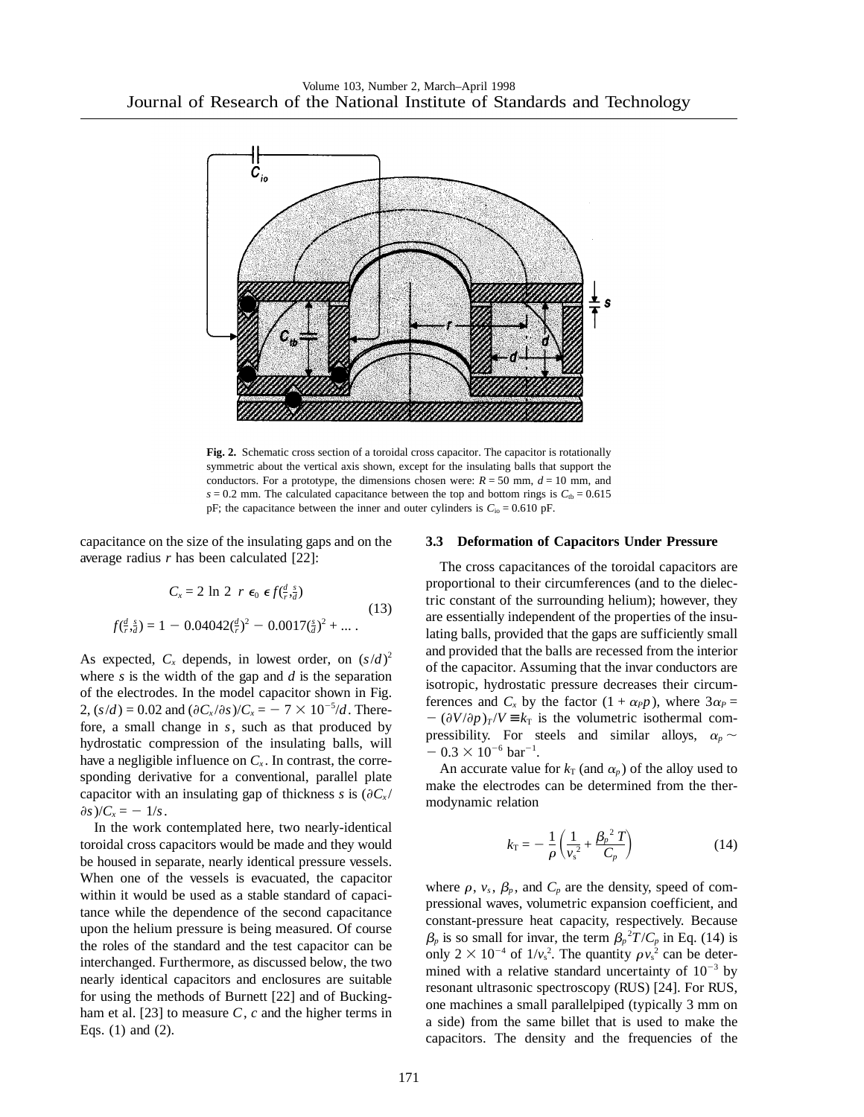

**Fig. 2.** Schematic cross section of a toroidal cross capacitor. The capacitor is rotationally symmetric about the vertical axis shown, except for the insulating balls that support the conductors. For a prototype, the dimensions chosen were:  $R = 50$  mm,  $d = 10$  mm, and  $s = 0.2$  mm. The calculated capacitance between the top and bottom rings is  $C_{tb} = 0.615$ pF; the capacitance between the inner and outer cylinders is  $C_{\text{io}} = 0.610 \text{ pF}$ .

capacitance on the size of the insulating gaps and on the average radius *r* has been calculated [22]:

$$
C_x = 2 \ln 2 \ r \ \epsilon_0 \ \epsilon f(\frac{d}{r}, \frac{s}{d})
$$
  

$$
f(\frac{d}{r}, \frac{s}{d}) = 1 - 0.04042(\frac{d}{r})^2 - 0.0017(\frac{s}{d})^2 + \dots
$$
 (13)

As expected,  $C_x$  depends, in lowest order, on  $(s/d)^2$ where *s* is the width of the gap and *d* is the separation of the electrodes. In the model capacitor shown in Fig. 2,  $(s/d) = 0.02$  and  $(\partial C_x/\partial s)/C_x = -7 \times 10^{-5}/d$ . Therefore, a small change in *s*, such as that produced by hydrostatic compression of the insulating balls, will have a negligible influence on  $C_x$ . In contrast, the corresponding derivative for a conventional, parallel plate capacitor with an insulating gap of thickness *s* is  $(\partial C_x)'$  $\partial s$ *)/C<sub>x</sub>* = -1/*s*.

In the work contemplated here, two nearly-identical toroidal cross capacitors would be made and they would be housed in separate, nearly identical pressure vessels. When one of the vessels is evacuated, the capacitor within it would be used as a stable standard of capacitance while the dependence of the second capacitance upon the helium pressure is being measured. Of course the roles of the standard and the test capacitor can be interchanged. Furthermore, as discussed below, the two nearly identical capacitors and enclosures are suitable for using the methods of Burnett [22] and of Buckingham et al. [23] to measure *C*, *c* and the higher terms in Eqs. (1) and (2).

#### **3.3 Deformation of Capacitors Under Pressure**

The cross capacitances of the toroidal capacitors are proportional to their circumferences (and to the dielectric constant of the surrounding helium); however, they are essentially independent of the properties of the insulating balls, provided that the gaps are sufficiently small and provided that the balls are recessed from the interior of the capacitor. Assuming that the invar conductors are isotropic, hydrostatic pressure decreases their circumferences and  $C_x$  by the factor  $(1 + \alpha_P p)$ , where  $3\alpha_P =$  $-(\partial V/\partial p)_T$ / $V \equiv k_T$  is the volumetric isothermal compressibility. For steels and similar alloys,  $\alpha_p \sim$  $-0.3 \times 10^{-6}$  bar<sup>-1</sup>.

An accurate value for  $k_T$  (and  $\alpha_p$ ) of the alloy used to make the electrodes can be determined from the thermodynamic relation

$$
k_{\rm T} = -\frac{1}{\rho} \left( \frac{1}{v_{\rm s}^2} + \frac{\beta_p^2 T}{C_p} \right) \tag{14}
$$

where  $\rho$ ,  $v_s$ ,  $\beta_p$ , and  $C_p$  are the density, speed of compressional waves, volumetric expansion coefficient, and constant-pressure heat capacity, respectively. Because  $\beta_p$  is so small for invar, the term  $\beta_p^2 T / C_p$  in Eq. (14) is only  $2 \times 10^{-4}$  of  $1/v_s^2$ . The quantity  $\rho v_s^2$  can be determined with a relative standard uncertainty of  $10^{-3}$  by resonant ultrasonic spectroscopy (RUS) [24]. For RUS, one machines a small parallelpiped (typically 3 mm on a side) from the same billet that is used to make the capacitors. The density and the frequencies of the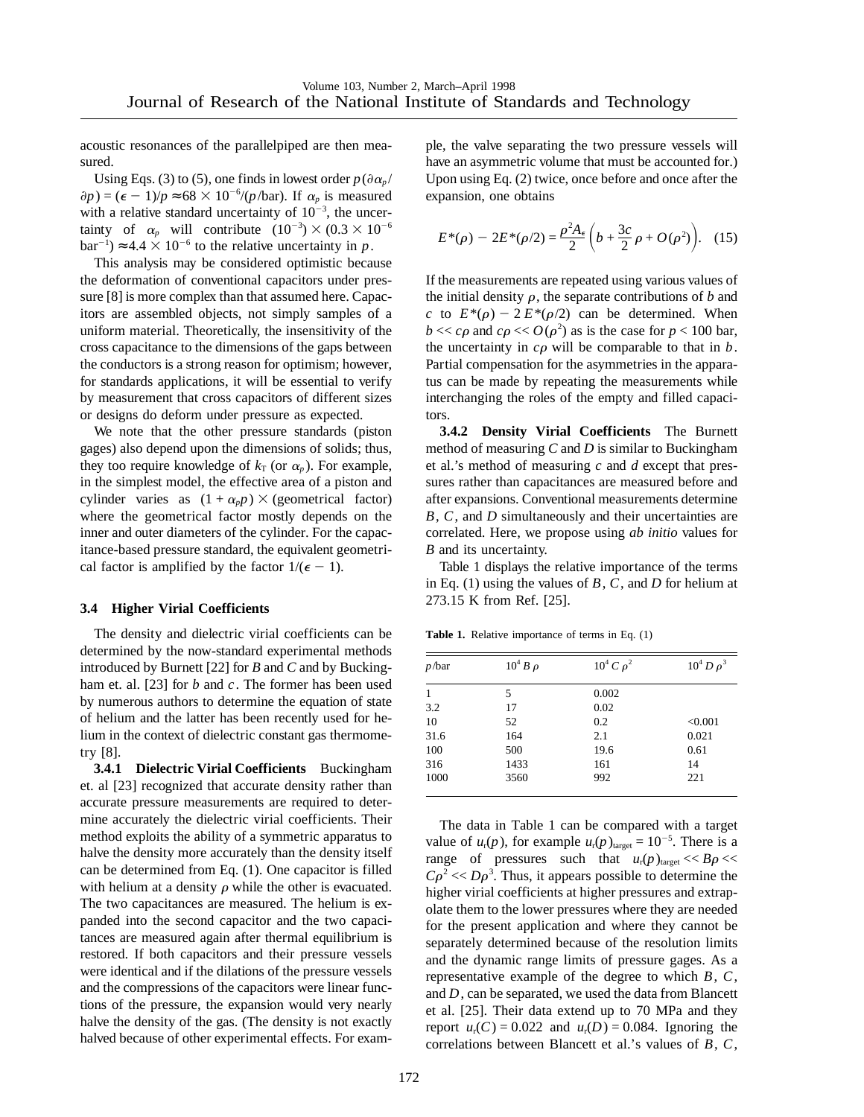acoustic resonances of the parallelpiped are then measured.

Using Eqs. (3) to (5), one finds in lowest order  $p(\partial \alpha_p)$  $\partial p$ ) = ( $\epsilon$  - 1)/ $p \approx 68 \times 10^{-6}$ /( $p$ /bar). If  $\alpha_p$  is measured with a relative standard uncertainty of  $10^{-3}$ , the uncertainty of  $\alpha_p$  will contribute  $(10^{-3}) \times (0.3 \times 10^{-6})$  $bar^{-1}$ )  $\approx 4.4 \times 10^{-6}$  to the relative uncertainty in *p*.

This analysis may be considered optimistic because the deformation of conventional capacitors under pressure [8] is more complex than that assumed here. Capacitors are assembled objects, not simply samples of a uniform material. Theoretically, the insensitivity of the cross capacitance to the dimensions of the gaps between the conductors is a strong reason for optimism; however, for standards applications, it will be essential to verify by measurement that cross capacitors of different sizes or designs do deform under pressure as expected.

We note that the other pressure standards (piston gages) also depend upon the dimensions of solids; thus, they too require knowledge of  $k_T$  (or  $\alpha_p$ ). For example, in the simplest model, the effective area of a piston and cylinder varies as  $(1 + \alpha_p p) \times$  (geometrical factor) where the geometrical factor mostly depends on the inner and outer diameters of the cylinder. For the capacitance-based pressure standard, the equivalent geometrical factor is amplified by the factor  $1/(\epsilon - 1)$ .

## **3.4 Higher Virial Coefficients**

The density and dielectric virial coefficients can be determined by the now-standard experimental methods introduced by Burnett [22] for *B* and *C* and by Buckingham et. al. [23] for *b* and *c*. The former has been used by numerous authors to determine the equation of state of helium and the latter has been recently used for helium in the context of dielectric constant gas thermometry [8].

**3.4.1 Dielectric Virial Coefficients** Buckingham et. al [23] recognized that accurate density rather than accurate pressure measurements are required to determine accurately the dielectric virial coefficients. Their method exploits the ability of a symmetric apparatus to halve the density more accurately than the density itself can be determined from Eq. (1). One capacitor is filled with helium at a density  $\rho$  while the other is evacuated. The two capacitances are measured. The helium is expanded into the second capacitor and the two capacitances are measured again after thermal equilibrium is restored. If both capacitors and their pressure vessels were identical and if the dilations of the pressure vessels and the compressions of the capacitors were linear functions of the pressure, the expansion would very nearly halve the density of the gas. (The density is not exactly halved because of other experimental effects. For example, the valve separating the two pressure vessels will have an asymmetric volume that must be accounted for.) Upon using Eq. (2) twice, once before and once after the expansion, one obtains

$$
E^*(\rho) - 2E^*(\rho/2) = \frac{\rho^2 A_{\epsilon}}{2} \left( b + \frac{3c}{2} \rho + O(\rho^2) \right). \quad (15)
$$

If the measurements are repeated using various values of the initial density  $\rho$ , the separate contributions of *b* and *c* to  $E^*(\rho) - 2 E^*(\rho/2)$  can be determined. When  $b \ll c\rho$  and  $c\rho \ll O(\rho^2)$  as is the case for  $p < 100$  bar, the uncertainty in  $c\rho$  will be comparable to that in  $b$ . Partial compensation for the asymmetries in the apparatus can be made by repeating the measurements while interchanging the roles of the empty and filled capacitors.

**3.4.2 Density Virial Coefficients** The Burnett method of measuring *C* and *D* is similar to Buckingham et al.'s method of measuring *c* and *d* except that pressures rather than capacitances are measured before and after expansions. Conventional measurements determine *B*, *C*, and *D* simultaneously and their uncertainties are correlated. Here, we propose using *ab initio* values for *B* and its uncertainty.

Table 1 displays the relative importance of the terms in Eq. (1) using the values of *B*, *C*, and *D* for helium at 273.15 K from Ref. [25].

**Table 1.** Relative importance of terms in Eq. (1)

| $p$ /bar | $10^4 B \rho$ | $10^4 C \rho^2$ | $10^4 D \rho^3$ |
|----------|---------------|-----------------|-----------------|
| 1        | 5             | 0.002           |                 |
| 3.2      | 17            | 0.02            |                 |
| 10       | 52            | 0.2             | < 0.001         |
| 31.6     | 164           | 2.1             | 0.021           |
| 100      | 500           | 19.6            | 0.61            |
| 316      | 1433          | 161             | 14              |
| 1000     | 3560          | 992             | 221             |

The data in Table 1 can be compared with a target value of  $u_r(p)$ , for example  $u_r(p)_{\text{target}} = 10^{-5}$ . There is a range of pressures such that  $u_r(p)_{\text{target}} \ll B\rho \ll 1$  $C\rho^2 \ll D\rho^3$ . Thus, it appears possible to determine the higher virial coefficients at higher pressures and extrapolate them to the lower pressures where they are needed for the present application and where they cannot be separately determined because of the resolution limits and the dynamic range limits of pressure gages. As a representative example of the degree to which *B*, *C*, and *D*, can be separated, we used the data from Blancett et al. [25]. Their data extend up to 70 MPa and they report  $u_r(C) = 0.022$  and  $u_r(D) = 0.084$ . Ignoring the correlations between Blancett et al.'s values of *B*, *C*,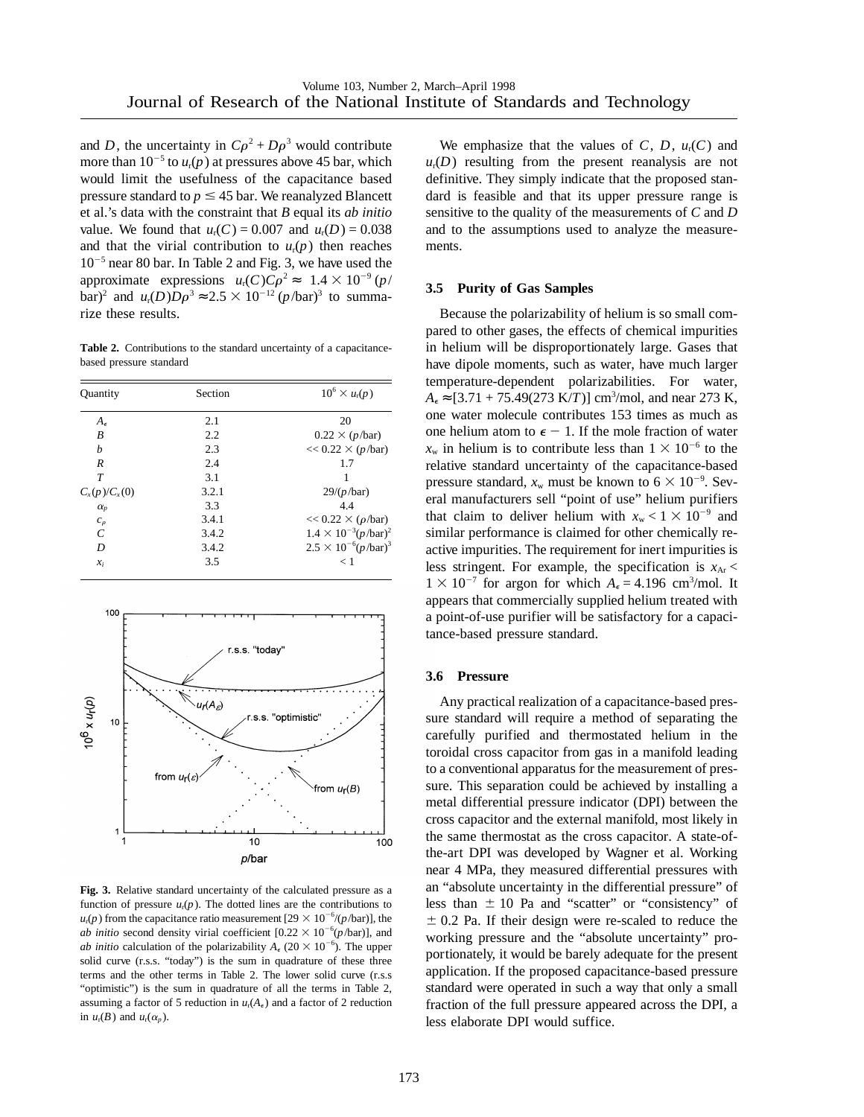and *D*, the uncertainty in  $C\rho^2 + D\rho^3$  would contribute more than  $10^{-5}$  to  $u_r(p)$  at pressures above 45 bar, which would limit the usefulness of the capacitance based pressure standard to  $p \leq 45$  bar. We reanalyzed Blancett et al.'s data with the constraint that *B* equal its *ab initio* value. We found that  $u_r(C) = 0.007$  and  $u_r(D) = 0.038$ and that the virial contribution to  $u_r(p)$  then reaches  $10^{-5}$  near 80 bar. In Table 2 and Fig. 3, we have used the approximate expressions  $u_r(C)C\rho^2 \approx 1.4 \times 10^{-9} (p/$ bar)<sup>2</sup> and *u<sub>t</sub>*(*D*)*D* $\rho$ <sup>3</sup> ≈ 2.5 × 10<sup>-12</sup> (*p*/bar)<sup>3</sup> to summarize these results.

**Table 2.** Contributions to the standard uncertainty of a capacitancebased pressure standard

| <b>Quantity</b>     | Section | $10^6 \times u_r(p)$                  |
|---------------------|---------|---------------------------------------|
| $A_{\epsilon}$      | 2.1     | 20                                    |
| B                   | 2.2     | $0.22 \times (p/\text{bar})$          |
| h                   | 2.3     | $<< 0.22 \times (p/\text{bar})$       |
| R                   | 2.4     | 1.7                                   |
| T                   | 3.1     |                                       |
| $C_{x}(p)/C_{x}(0)$ | 3.2.1   | 29/(p/bar)                            |
| $\alpha_p$          | 3.3     | 44                                    |
| $c_{\rho}$          | 3.4.1   | $<< 0.22 \times (\rho/\text{bar})$    |
| C                   | 3.4.2   | $1.4 \times 10^{-3} (p/\text{bar})^2$ |
| D                   | 3.4.2   | $2.5 \times 10^{-6} (p/\text{bar})^3$ |
| $x_i$               | 3.5     | ← 1                                   |



**Fig. 3.** Relative standard uncertainty of the calculated pressure as a function of pressure  $u_r(p)$ . The dotted lines are the contributions to  $u_r(p)$  from the capacitance ratio measurement [29  $\times$  10<sup>-6</sup>/(*p*/bar)], the *ab initio* second density virial coefficient  $[0.22 \times 10^{-6} (p/\text{bar})]$ , and *ab initio* calculation of the polarizability  $A_{\epsilon}$  (20  $\times$  10<sup>-6</sup>). The upper solid curve (r.s.s. "today") is the sum in quadrature of these three terms and the other terms in Table 2. The lower solid curve (r.s.s "optimistic") is the sum in quadrature of all the terms in Table 2, assuming a factor of 5 reduction in  $u_r(A_\epsilon)$  and a factor of 2 reduction in  $u_r(B)$  and  $u_r(\alpha_p)$ .

We emphasize that the values of  $C$ ,  $D$ ,  $u_r(C)$  and  $u_r(D)$  resulting from the present reanalysis are not definitive. They simply indicate that the proposed standard is feasible and that its upper pressure range is sensitive to the quality of the measurements of *C* and *D* and to the assumptions used to analyze the measurements.

#### **3.5 Purity of Gas Samples**

Because the polarizability of helium is so small compared to other gases, the effects of chemical impurities in helium will be disproportionately large. Gases that have dipole moments, such as water, have much larger temperature-dependent polarizabilities. For water,  $A_{\epsilon} \approx [3.71 + 75.49(273 \text{ K}/T)] \text{ cm}^3/\text{mol}$ , and near 273 K, one water molecule contributes 153 times as much as one helium atom to  $\epsilon - 1$ . If the mole fraction of water  $x_w$  in helium is to contribute less than  $1 \times 10^{-6}$  to the relative standard uncertainty of the capacitance-based pressure standard,  $x_w$  must be known to  $6 \times 10^{-9}$ . Several manufacturers sell "point of use" helium purifiers that claim to deliver helium with  $x_w < 1 \times 10^{-9}$  and similar performance is claimed for other chemically reactive impurities. The requirement for inert impurities is less stringent. For example, the specification is  $x_{\text{Ar}}$  $1 \times 10^{-7}$  for argon for which  $A_{\epsilon} = 4.196$  cm<sup>3</sup>/mol. It appears that commercially supplied helium treated with a point-of-use purifier will be satisfactory for a capacitance-based pressure standard.

#### **3.6 Pressure**

Any practical realization of a capacitance-based pressure standard will require a method of separating the carefully purified and thermostated helium in the toroidal cross capacitor from gas in a manifold leading to a conventional apparatus for the measurement of pressure. This separation could be achieved by installing a metal differential pressure indicator (DPI) between the cross capacitor and the external manifold, most likely in the same thermostat as the cross capacitor. A state-ofthe-art DPI was developed by Wagner et al. Working near 4 MPa, they measured differential pressures with an "absolute uncertainty in the differential pressure" of less than  $\pm 10$  Pa and "scatter" or "consistency" of  $\pm$  0.2 Pa. If their design were re-scaled to reduce the working pressure and the "absolute uncertainty" proportionately, it would be barely adequate for the present application. If the proposed capacitance-based pressure standard were operated in such a way that only a small fraction of the full pressure appeared across the DPI, a less elaborate DPI would suffice.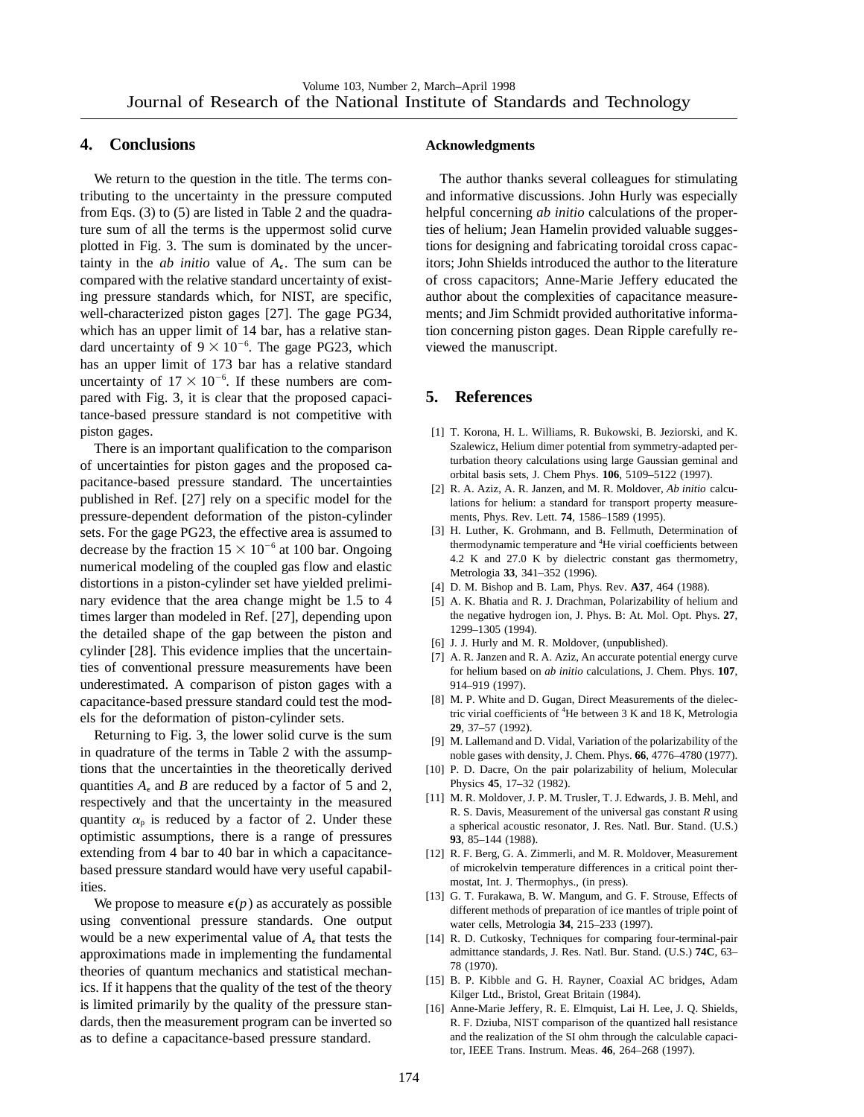## **4. Conclusions**

We return to the question in the title. The terms contributing to the uncertainty in the pressure computed from Eqs. (3) to (5) are listed in Table 2 and the quadrature sum of all the terms is the uppermost solid curve plotted in Fig. 3. The sum is dominated by the uncertainty in the *ab initio* value of  $A_{\epsilon}$ . The sum can be compared with the relative standard uncertainty of existing pressure standards which, for NIST, are specific, well-characterized piston gages [27]. The gage PG34, which has an upper limit of 14 bar, has a relative standard uncertainty of  $9 \times 10^{-6}$ . The gage PG23, which has an upper limit of 173 bar has a relative standard uncertainty of  $17 \times 10^{-6}$ . If these numbers are compared with Fig. 3, it is clear that the proposed capacitance-based pressure standard is not competitive with piston gages.

There is an important qualification to the comparison of uncertainties for piston gages and the proposed capacitance-based pressure standard. The uncertainties published in Ref. [27] rely on a specific model for the pressure-dependent deformation of the piston-cylinder sets. For the gage PG23, the effective area is assumed to decrease by the fraction  $15 \times 10^{-6}$  at 100 bar. Ongoing numerical modeling of the coupled gas flow and elastic distortions in a piston-cylinder set have yielded preliminary evidence that the area change might be 1.5 to 4 times larger than modeled in Ref. [27], depending upon the detailed shape of the gap between the piston and cylinder [28]. This evidence implies that the uncertainties of conventional pressure measurements have been underestimated. A comparison of piston gages with a capacitance-based pressure standard could test the models for the deformation of piston-cylinder sets.

Returning to Fig. 3, the lower solid curve is the sum in quadrature of the terms in Table 2 with the assumptions that the uncertainties in the theoretically derived quantities  $A_{\epsilon}$  and *B* are reduced by a factor of 5 and 2, respectively and that the uncertainty in the measured quantity  $\alpha_p$  is reduced by a factor of 2. Under these optimistic assumptions, there is a range of pressures extending from 4 bar to 40 bar in which a capacitancebased pressure standard would have very useful capabilities.

We propose to measure  $\epsilon(p)$  as accurately as possible using conventional pressure standards. One output would be a new experimental value of  $A_{\epsilon}$  that tests the approximations made in implementing the fundamental theories of quantum mechanics and statistical mechanics. If it happens that the quality of the test of the theory is limited primarily by the quality of the pressure standards, then the measurement program can be inverted so as to define a capacitance-based pressure standard.

#### **Acknowledgments**

The author thanks several colleagues for stimulating and informative discussions. John Hurly was especially helpful concerning *ab initio* calculations of the properties of helium; Jean Hamelin provided valuable suggestions for designing and fabricating toroidal cross capacitors; John Shields introduced the author to the literature of cross capacitors; Anne-Marie Jeffery educated the author about the complexities of capacitance measurements; and Jim Schmidt provided authoritative information concerning piston gages. Dean Ripple carefully reviewed the manuscript.

# **5. References**

- [1] T. Korona, H. L. Williams, R. Bukowski, B. Jeziorski, and K. Szalewicz, Helium dimer potential from symmetry-adapted perturbation theory calculations using large Gaussian geminal and orbital basis sets, J. Chem Phys. **106**, 5109–5122 (1997).
- [2] R. A. Aziz, A. R. Janzen, and M. R. Moldover, *Ab initio* calculations for helium: a standard for transport property measurements, Phys. Rev. Lett. **74**, 1586–1589 (1995).
- [3] H. Luther, K. Grohmann, and B. Fellmuth, Determination of thermodynamic temperature and <sup>4</sup>He virial coefficients between 4.2 K and 27.0 K by dielectric constant gas thermometry, Metrologia **33**, 341–352 (1996).
- [4] D. M. Bishop and B. Lam, Phys. Rev. **A37**, 464 (1988).
- [5] A. K. Bhatia and R. J. Drachman, Polarizability of helium and the negative hydrogen ion, J. Phys. B: At. Mol. Opt. Phys. **27**, 1299–1305 (1994).
- [6] J. J. Hurly and M. R. Moldover, (unpublished).
- [7] A. R. Janzen and R. A. Aziz, An accurate potential energy curve for helium based on *ab initio* calculations, J. Chem. Phys. **107**, 914–919 (1997).
- [8] M. P. White and D. Gugan, Direct Measurements of the dielectric virial coefficients of <sup>4</sup>He between 3 K and 18 K, Metrologia **29**, 37–57 (1992).
- [9] M. Lallemand and D. Vidal, Variation of the polarizability of the noble gases with density, J. Chem. Phys. **66**, 4776–4780 (1977).
- [10] P. D. Dacre, On the pair polarizability of helium, Molecular Physics **45**, 17–32 (1982).
- [11] M. R. Moldover, J. P. M. Trusler, T. J. Edwards, J. B. Mehl, and R. S. Davis, Measurement of the universal gas constant *R* using a spherical acoustic resonator, J. Res. Natl. Bur. Stand. (U.S.) **93**, 85–144 (1988).
- [12] R. F. Berg, G. A. Zimmerli, and M. R. Moldover, Measurement of microkelvin temperature differences in a critical point thermostat, Int. J. Thermophys., (in press).
- [13] G. T. Furakawa, B. W. Mangum, and G. F. Strouse, Effects of different methods of preparation of ice mantles of triple point of water cells, Metrologia **34**, 215–233 (1997).
- [14] R. D. Cutkosky, Techniques for comparing four-terminal-pair admittance standards, J. Res. Natl. Bur. Stand. (U.S.) **74C**, 63– 78 (1970).
- [15] B. P. Kibble and G. H. Rayner, Coaxial AC bridges, Adam Kilger Ltd., Bristol, Great Britain (1984).
- [16] Anne-Marie Jeffery, R. E. Elmquist, Lai H. Lee, J. Q. Shields, R. F. Dziuba, NIST comparison of the quantized hall resistance and the realization of the SI ohm through the calculable capacitor, IEEE Trans. Instrum. Meas. **46**, 264–268 (1997).